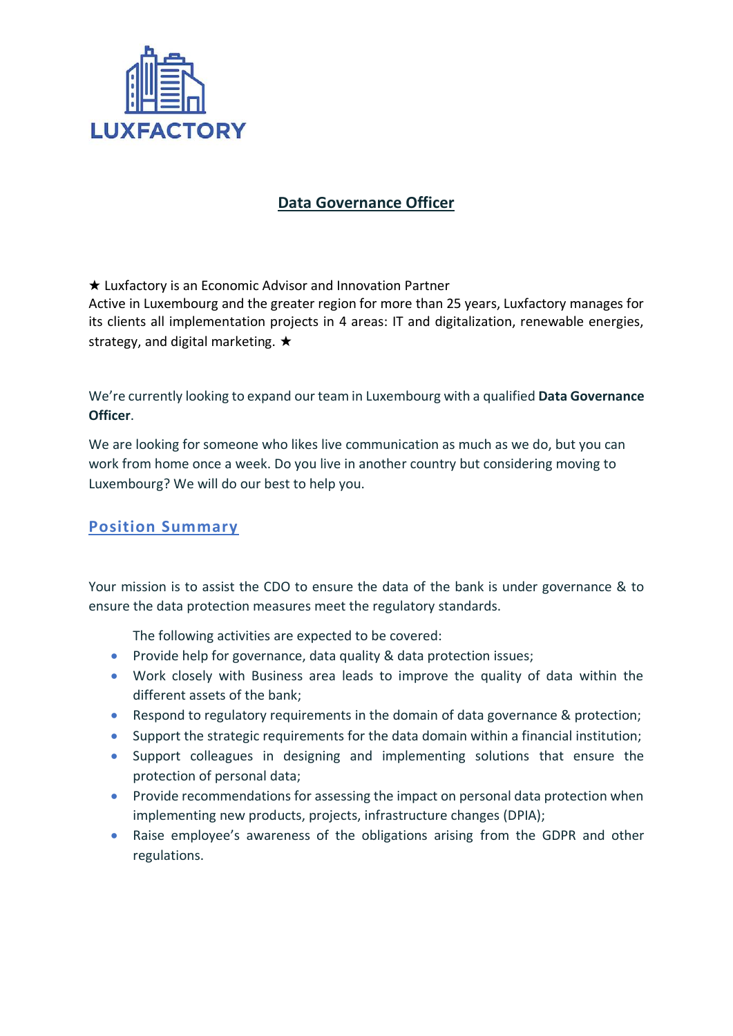

### **Data Governance Officer**

★ Luxfactory is an Economic Advisor and Innovation Partner Active in Luxembourg and the greater region for more than 25 years, Luxfactory manages for its clients all implementation projects in 4 areas: IT and digitalization, renewable energies, strategy, and digital marketing. ★

We're currently looking to expand our team in Luxembourg with a qualified **Data Governance Officer**.

We are looking for someone who likes live communication as much as we do, but you can work from home once a week. Do you live in another country but considering moving to Luxembourg? We will do our best to help you.

## **Position Summary**

Your mission is to assist the CDO to ensure the data of the bank is under governance & to ensure the data protection measures meet the regulatory standards.

The following activities are expected to be covered:

- Provide help for governance, data quality & data protection issues;
- Work closely with Business area leads to improve the quality of data within the different assets of the bank;
- Respond to regulatory requirements in the domain of data governance & protection;
- Support the strategic requirements for the data domain within a financial institution;
- Support colleagues in designing and implementing solutions that ensure the protection of personal data;
- Provide recommendations for assessing the impact on personal data protection when implementing new products, projects, infrastructure changes (DPIA);
- Raise employee's awareness of the obligations arising from the GDPR and other regulations.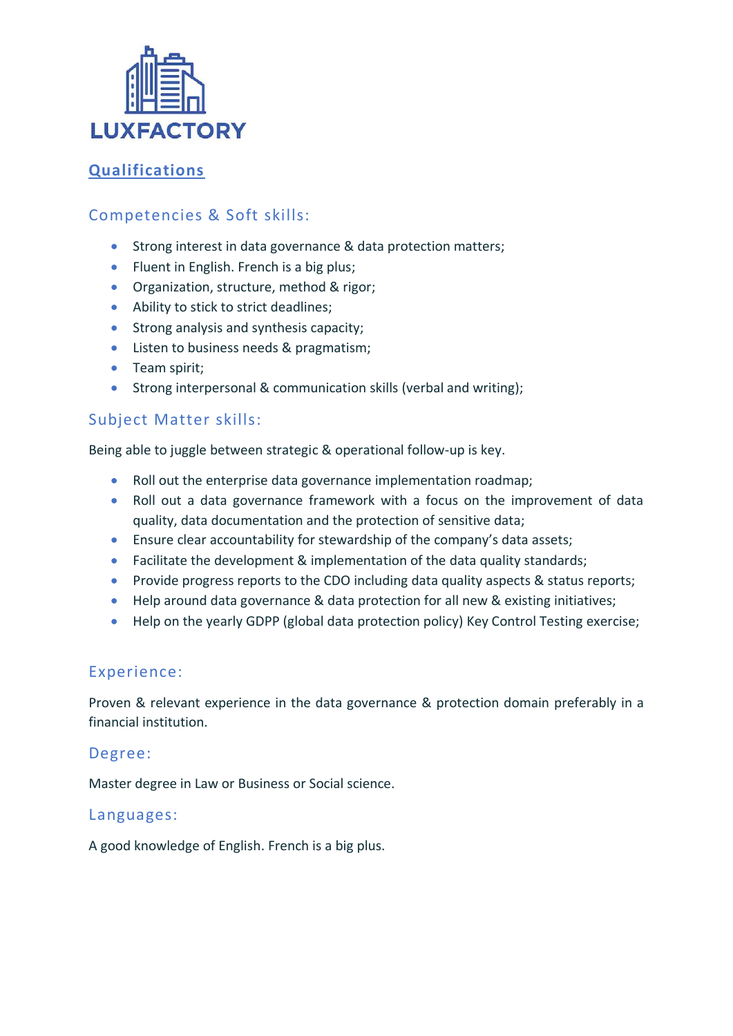

# **Qualifications**

## Competencies & Soft skills:

- Strong interest in data governance & data protection matters;
- Fluent in English. French is a big plus;
- Organization, structure, method & rigor;
- Ability to stick to strict deadlines;
- Strong analysis and synthesis capacity;
- Listen to business needs & pragmatism;
- Team spirit;
- Strong interpersonal & communication skills (verbal and writing);

### Subject Matter skills:

Being able to juggle between strategic & operational follow-up is key.

- Roll out the enterprise data governance implementation roadmap;
- Roll out a data governance framework with a focus on the improvement of data quality, data documentation and the protection of sensitive data;
- Ensure clear accountability for stewardship of the company's data assets;
- Facilitate the development & implementation of the data quality standards;
- Provide progress reports to the CDO including data quality aspects & status reports;
- Help around data governance & data protection for all new & existing initiatives;
- Help on the yearly GDPP (global data protection policy) Key Control Testing exercise;

### Experience:

Proven & relevant experience in the data governance & protection domain preferably in a financial institution.

### Degree:

Master degree in Law or Business or Social science.

### Languages:

A good knowledge of English. French is a big plus.